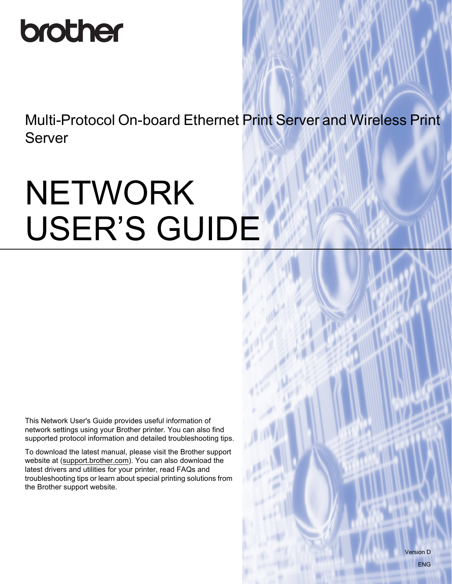# brother

Multi-Protocol On-board Ethernet Print Server and Wireless Print Server

# **NETWORK** USER'S GUIDE

This Network User's Guide provides useful information of network settings using your Brother printer. You can also find supported protocol information and detailed troubleshooting tips.

To download the latest manual, please visit the Brother support website at ([support.brother.com](http://support.brother.com/)). You can also download the latest drivers and utilities for your printer, read FAQs and troubleshooting tips or learn about special printing solutions from the Brother support website.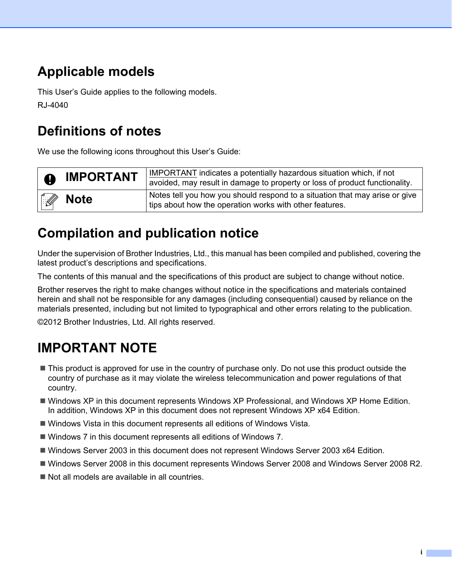## **Applicable models**

This User's Guide applies to the following models. RJ-4040

## **Definitions of notes**

We use the following icons throughout this User's Guide:

| $\bullet$    | <b>IMPORTANT</b> | IMPORTANT indicates a potentially hazardous situation which, if not<br>avoided, may result in damage to property or loss of product functionality. |
|--------------|------------------|----------------------------------------------------------------------------------------------------------------------------------------------------|
| $\mathbb{Z}$ | <b>Note</b>      | Notes tell you how you should respond to a situation that may arise or give<br>tips about how the operation works with other features.             |

## **Compilation and publication notice**

Under the supervision of Brother Industries, Ltd., this manual has been compiled and published, covering the latest product's descriptions and specifications.

The contents of this manual and the specifications of this product are subject to change without notice.

Brother reserves the right to make changes without notice in the specifications and materials contained herein and shall not be responsible for any damages (including consequential) caused by reliance on the materials presented, including but not limited to typographical and other errors relating to the publication.

©2012 Brother Industries, Ltd. All rights reserved.

## **IMPORTANT NOTE**

- This product is approved for use in the country of purchase only. Do not use this product outside the country of purchase as it may violate the wireless telecommunication and power regulations of that country.
- Windows XP in this document represents Windows XP Professional, and Windows XP Home Edition. In addition, Windows XP in this document does not represent Windows XP x64 Edition.
- Windows Vista in this document represents all editions of Windows Vista.
- Windows 7 in this document represents all editions of Windows 7.
- Windows Server 2003 in this document does not represent Windows Server 2003 x64 Edition.
- Windows Server 2008 in this document represents Windows Server 2008 and Windows Server 2008 R2.
- Not all models are available in all countries.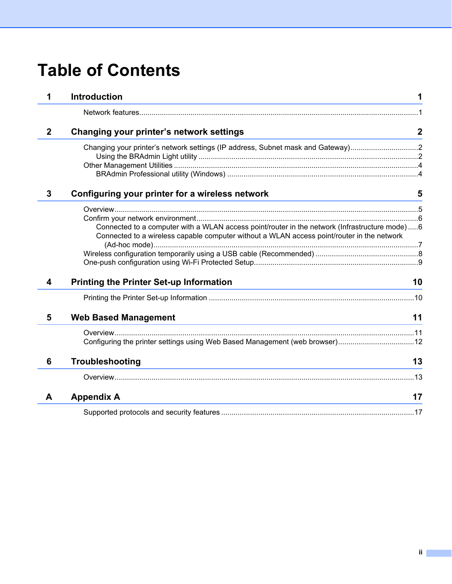## **Table of Contents**

| 1            | <b>Introduction</b><br>and the control of the control of the control of the control of the control of the control of the control of the                                 | 1                |
|--------------|-------------------------------------------------------------------------------------------------------------------------------------------------------------------------|------------------|
|              |                                                                                                                                                                         |                  |
| $\mathbf{2}$ | Changing your printer's network settings                                                                                                                                | $\boldsymbol{2}$ |
|              | Changing your printer's network settings (IP address, Subnet mask and Gateway)2                                                                                         |                  |
|              |                                                                                                                                                                         |                  |
|              |                                                                                                                                                                         |                  |
|              |                                                                                                                                                                         |                  |
| 3            | Configuring your printer for a wireless network                                                                                                                         | 5                |
|              |                                                                                                                                                                         |                  |
|              |                                                                                                                                                                         |                  |
|              | Connected to a computer with a WLAN access point/router in the network (Infrastructure mode)6                                                                           |                  |
|              | Connected to a wireless capable computer without a WLAN access point/router in the network                                                                              |                  |
|              |                                                                                                                                                                         |                  |
|              |                                                                                                                                                                         |                  |
|              |                                                                                                                                                                         |                  |
| 4            | <b>Printing the Printer Set-up Information</b><br><u> 1980 - Johann Barn, mars ann an t-Amhainn an t-Amhainn an t-Amhainn an t-Amhainn an t-Amhainn an t-Amhainn an</u> | 10               |
|              |                                                                                                                                                                         |                  |
| 5            | <b>Web Based Management</b>                                                                                                                                             | 11               |
|              |                                                                                                                                                                         |                  |
|              |                                                                                                                                                                         |                  |
| 6            | Troubleshooting<br>and the control of the control of the control of the control of the control of the control of the control of the                                     | 13               |
|              |                                                                                                                                                                         |                  |
| A            | <b>Appendix A</b>                                                                                                                                                       | 17               |
|              |                                                                                                                                                                         |                  |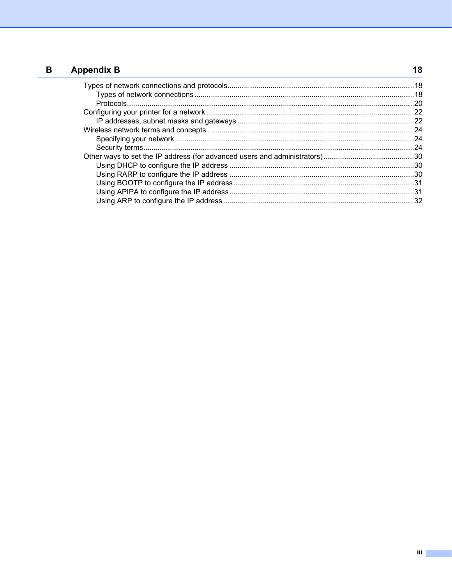#### $\mathbf B$ **Appendix B**

| ppendix B |  |
|-----------|--|
|           |  |
|           |  |
|           |  |
|           |  |
|           |  |
|           |  |
|           |  |
|           |  |
|           |  |
|           |  |
|           |  |
|           |  |
|           |  |
|           |  |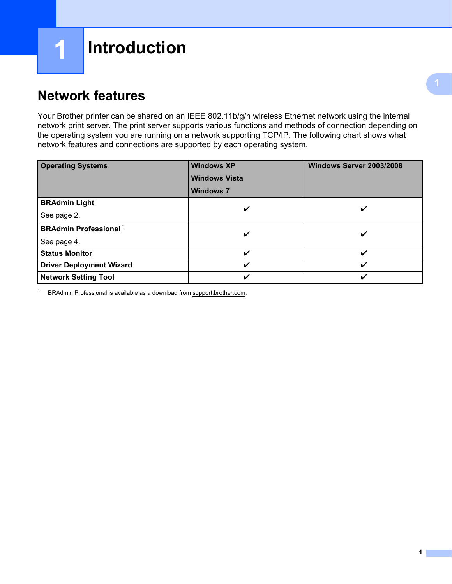## <span id="page-4-1"></span>**Network features**

<span id="page-4-0"></span>**1**

Your Brother printer can be shared on an IEEE 802.11b/g/n wireless Ethernet network using the internal network print server. The print server supports various functions and methods of connection depending on the operating system you are running on a network supporting TCP/IP. The following chart shows what network features and connections are supported by each operating system.

| <b>Operating Systems</b>                 | <b>Windows XP</b><br><b>Windows Vista</b><br><b>Windows 7</b> | Windows Server 2003/2008 |  |
|------------------------------------------|---------------------------------------------------------------|--------------------------|--|
| <b>BRAdmin Light</b>                     |                                                               |                          |  |
| See page 2.                              | V                                                             | ✔                        |  |
| <b>BRAdmin Professional</b> <sup>1</sup> | V                                                             | ✔                        |  |
| See page 4.                              |                                                               |                          |  |
| <b>Status Monitor</b>                    | V                                                             | V                        |  |
| <b>Driver Deployment Wizard</b>          | V                                                             | V                        |  |
| <b>Network Setting Tool</b>              | V                                                             | ✓                        |  |

<span id="page-4-2"></span><sup>1</sup> BRAdmin Professional is available as a download from [support.brother.com.](http://support.brother.com/)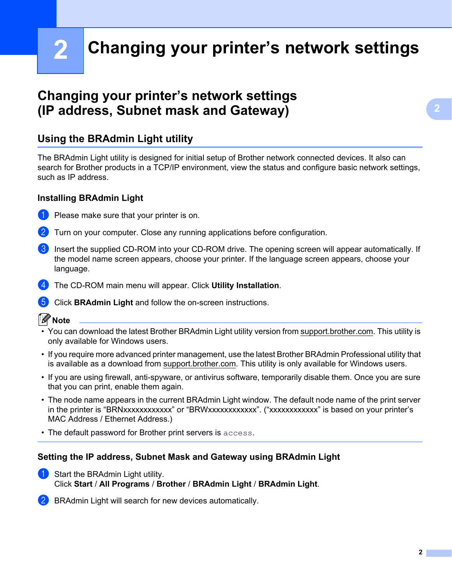**2**

## <span id="page-5-0"></span>**Changing your printer's network settings2**

### <span id="page-5-4"></span><span id="page-5-1"></span>**Changing your printer's network settings (IP address, Subnet mask and Gateway) <sup>2</sup>**

#### <span id="page-5-3"></span><span id="page-5-2"></span>**Using the BRAdmin Light utility <sup>2</sup>**

The BRAdmin Light utility is designed for initial setup of Brother network connected devices. It also can search for Brother products in a TCP/IP environment, view the status and configure basic network settings, such as IP address.

#### **Installing BRAdmin Light <sup>2</sup>**

- Please make sure that your printer is on.
- Turn on your computer. Close any running applications before configuration.
- **3** Insert the supplied CD-ROM into your CD-ROM drive. The opening screen will appear automatically. If the model name screen appears, choose your printer. If the language screen appears, choose your language.
- d The CD-ROM main menu will appear. Click **Utility Installation**.
- **6** Click **BRAdmin Light** and follow the on-screen instructions.

#### **Note**

- You can download the latest Brother BRAdmin Light utility version from [support.brother.com.](http://support.brother.com/) This utility is only available for Windows users.
- If you require more advanced printer management, use the latest Brother BRAdmin Professional utility that is available as a download from [support.brother.com.](http://support.brother.com/) This utility is only available for Windows users.
- If you are using firewall, anti-spyware, or antivirus software, temporarily disable them. Once you are sure that you can print, enable them again.
- The node name appears in the current BRAdmin Light window. The default node name of the print server in the printer is "BRNxxxxxxxxxxxx" or "BRWxxxxxxxxxxxx". ("xxxxxxxxxxxx" is based on your printer's MAC Address / Ethernet Address.)
- The default password for Brother print servers is access.

#### **Setting the IP address, Subnet Mask and Gateway using BRAdmin Light <sup>2</sup>**

 $\blacksquare$  Start the BRAdmin Light utility. Click **Start** / **All Programs** / **Brother** / **BRAdmin Light** / **BRAdmin Light**.

BRAdmin Light will search for new devices automatically.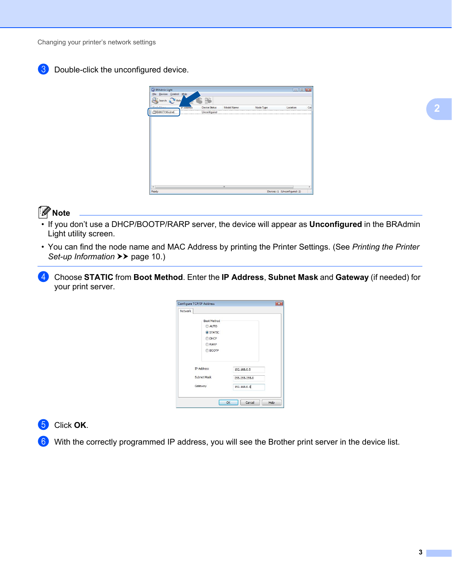Changing your printer's network settings





#### **Note**

- If you don't use a DHCP/BOOTP/RARP server, the device will appear as **Unconfigured** in the BRAdmin Light utility screen.
- You can find the node name and MAC Address by printing the Printer Settings. (See *[Printing the Printer](#page-13-2)  [Set-up Information](#page-13-2)* >> page 10.)
- d Choose **STATIC** from **Boot Method**. Enter the **IP Address**, **Subnet Mask** and **Gateway** (if needed) for your print server.

| Network                |                    |               |      |
|------------------------|--------------------|---------------|------|
|                        | <b>Boot Method</b> |               |      |
|                        | AUTO               |               |      |
|                        | <b>O</b> STATIC    |               |      |
|                        | <b>DHCP</b>        |               |      |
|                        | RARP               |               |      |
|                        | <b>BOOTP</b>       |               |      |
|                        |                    |               |      |
|                        | <b>IP Address</b>  | 192.168.0.5   |      |
| Subnet Mask<br>Gateway |                    | 255.255.255.0 |      |
|                        |                    | 192.168.0.1   |      |
|                        |                    |               |      |
|                        |                    | Cancel<br>OK  | Help |

#### e Click **OK**.

With the correctly programmed IP address, you will see the Brother print server in the device list.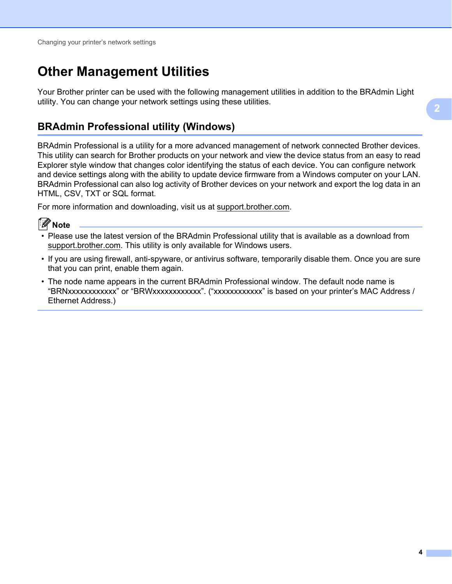## <span id="page-7-0"></span>**Other Management Utilities <sup>2</sup>**

Your Brother printer can be used with the following management utilities in addition to the BRAdmin Light utility. You can change your network settings using these utilities.

#### <span id="page-7-2"></span><span id="page-7-1"></span>**BRAdmin Professional utility (Windows) <sup>2</sup>**

BRAdmin Professional is a utility for a more advanced management of network connected Brother devices. This utility can search for Brother products on your network and view the device status from an easy to read Explorer style window that changes color identifying the status of each device. You can configure network and device settings along with the ability to update device firmware from a Windows computer on your LAN. BRAdmin Professional can also log activity of Brother devices on your network and export the log data in an HTML, CSV, TXT or SQL format.

For more information and downloading, visit us at [support.brother.com](http://support.brother.com/).



- Please use the latest version of the BRAdmin Professional utility that is available as a download from [support.brother.com](http://support.brother.com/). This utility is only available for Windows users.
- If you are using firewall, anti-spyware, or antivirus software, temporarily disable them. Once you are sure that you can print, enable them again.
- The node name appears in the current BRAdmin Professional window. The default node name is "BRNxxxxxxxxxxxx" or "BRWxxxxxxxxxxxx". ("xxxxxxxxxxxx" is based on your printer's MAC Address / Ethernet Address.)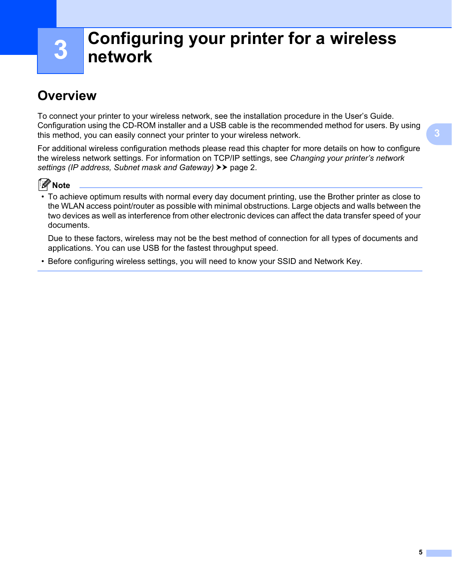## **3**

## <span id="page-8-0"></span>**Configuring your printer for a wireless network <sup>3</sup>**

## <span id="page-8-1"></span>**Overview <sup>3</sup>**

To connect your printer to your wireless network, see the installation procedure in the User's Guide. Configuration using the CD-ROM installer and a USB cable is the recommended method for users. By using this method, you can easily connect your printer to your wireless network.

For additional wireless configuration methods please read this chapter for more details on how to configure the wireless network settings. For information on TCP/IP settings, see *[Changing your printer's network](#page-5-4)*  [settings \(IP address, Subnet mask and Gateway\)](#page-5-4) >> page 2.



• To achieve optimum results with normal every day document printing, use the Brother printer as close to the WLAN access point/router as possible with minimal obstructions. Large objects and walls between the two devices as well as interference from other electronic devices can affect the data transfer speed of your documents.

Due to these factors, wireless may not be the best method of connection for all types of documents and applications. You can use USB for the fastest throughput speed.

• Before configuring wireless settings, you will need to know your SSID and Network Key.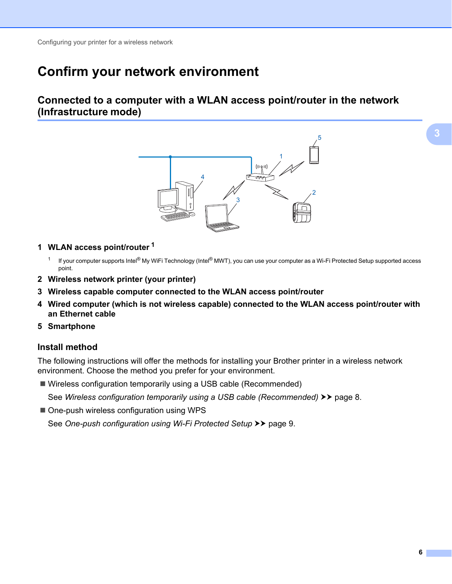### <span id="page-9-0"></span>**Confirm your network environment <sup>3</sup>**

#### <span id="page-9-1"></span>**Connected to a computer with a WLAN access point/router in the network (Infrastructure mode) <sup>3</sup>**



- <span id="page-9-2"></span>**1 WLAN access point/router [1](#page-9-2)**
	- <sup>1</sup> If your computer supports Intel<sup>®</sup> My WiFi Technology (Intel<sup>®</sup> MWT), you can use your computer as a Wi-Fi Protected Setup supported access point.
- **2 Wireless network printer (your printer)**
- **3 Wireless capable computer connected to the WLAN access point/router**
- **4 Wired computer (which is not wireless capable) connected to the WLAN access point/router with an Ethernet cable**
- **5 Smartphone**

#### **Install method <sup>3</sup>**

The following instructions will offer the methods for installing your Brother printer in a wireless network environment. Choose the method you prefer for your environment.

Wireless configuration temporarily using a USB cable (Recommended)

See [Wireless configuration temporarily using a USB cable \(Recommended\)](#page-11-0) >> page 8.

■ One-push wireless configuration using WPS

See [One-push configuration using Wi-Fi Protected Setup](#page-12-0) >> page 9.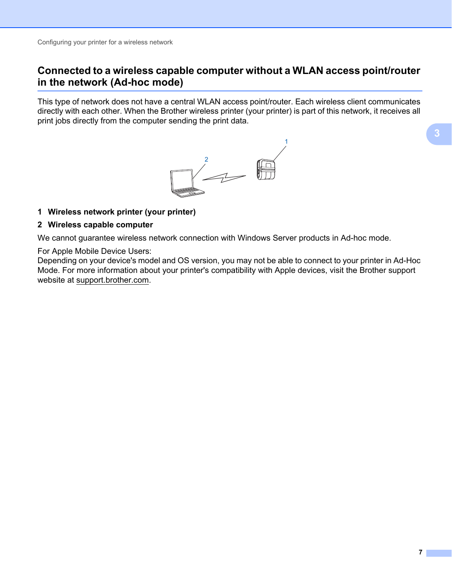#### <span id="page-10-0"></span>**Connected to a wireless capable computer without a WLAN access point/router in the network (Ad-hoc mode) <sup>3</sup>**

This type of network does not have a central WLAN access point/router. Each wireless client communicates directly with each other. When the Brother wireless printer (your printer) is part of this network, it receives all print jobs directly from the computer sending the print data.



#### **1 Wireless network printer (your printer)**

#### **2 Wireless capable computer**

We cannot guarantee wireless network connection with Windows Server products in Ad-hoc mode.

#### For Apple Mobile Device Users:

Depending on your device's model and OS version, you may not be able to connect to your printer in Ad-Hoc Mode. For more information about your printer's compatibility with Apple devices, visit the Brother support website at [support.brother.com.](http://support.brother.com/)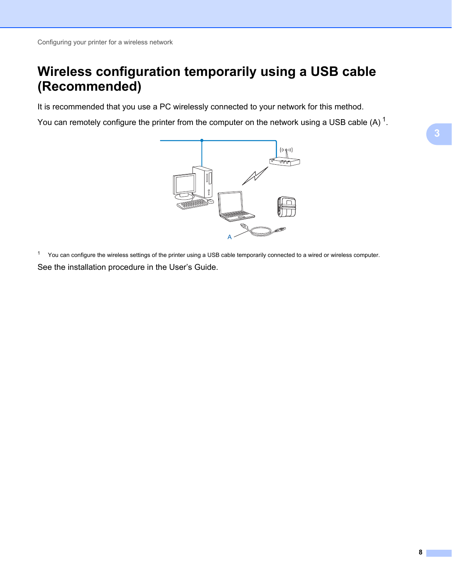## <span id="page-11-0"></span>**Wireless configuration temporarily using a USB cable (Recommended) <sup>3</sup>**

It is recommended that you use a PC wirelessly connected to your network for this method.

You can remotely configure the printer from the computer on the network using a USB cable (A)  $1$ .



<span id="page-11-1"></span> $1$  You can configure the wireless settings of the printer using a USB cable temporarily connected to a wired or wireless computer. See the installation procedure in the User's Guide.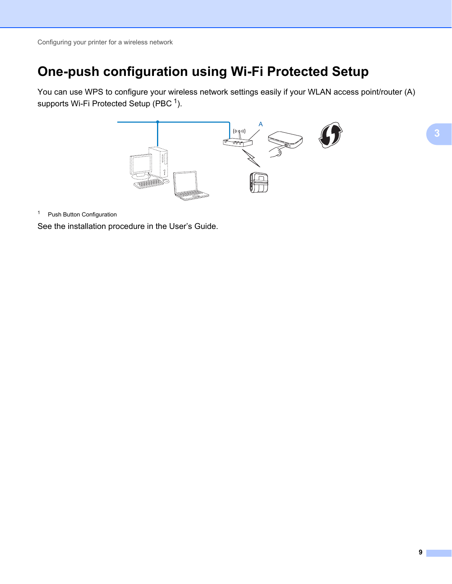## <span id="page-12-0"></span>**One-push configuration using Wi-Fi Protected Setup <sup>3</sup>**

You can use WPS to configure your wireless network settings easily if your WLAN access point/router (A) supports Wi-Fi Protected Setup (PBC $<sup>1</sup>$  $<sup>1</sup>$  $<sup>1</sup>$ ).</sup>



<span id="page-12-1"></span><sup>1</sup> Push Button Configuration

See the installation procedure in the User's Guide.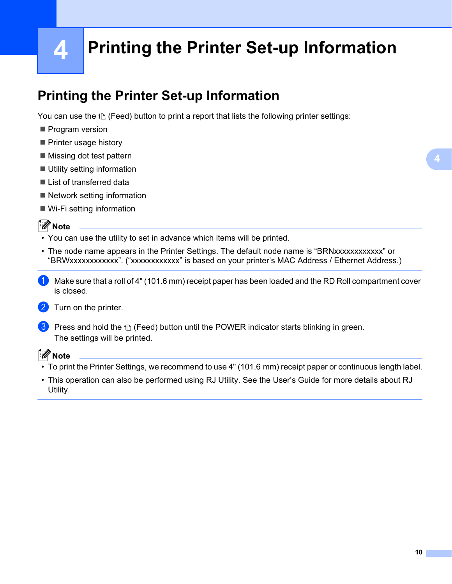## **4**

## <span id="page-13-2"></span><span id="page-13-0"></span>**Printing the Printer Set-up Information <sup>4</sup>**

## <span id="page-13-3"></span><span id="page-13-1"></span>**Printing the Printer Set-up Information <sup>4</sup>**

You can use the  $f \rhd$  (Feed) button to print a report that lists the following printer settings:

- Program version
- **Printer usage history**
- $\blacksquare$  Missing dot test pattern
- Utility setting information
- **List of transferred data**
- Network setting information
- Wi-Fi setting information

#### **Note**

- You can use the utility to set in advance which items will be printed.
- The node name appears in the Printer Settings. The default node name is "BRNxxxxxxxxxxxx" or "BRWxxxxxxxxxxxx". ("xxxxxxxxxxxx" is based on your printer's MAC Address / Ethernet Address.)
- $\Box$  Make sure that a roll of 4" (101.6 mm) receipt paper has been loaded and the RD Roll compartment cover is closed.

#### 2 Turn on the printer.

**3** Press and hold the  $t \Delta$  (Feed) button until the POWER indicator starts blinking in green. The settings will be printed.

#### **Note**

- To print the Printer Settings, we recommend to use 4" (101.6 mm) receipt paper or continuous length label.
- This operation can also be performed using RJ Utility. See the User's Guide for more details about RJ Utility.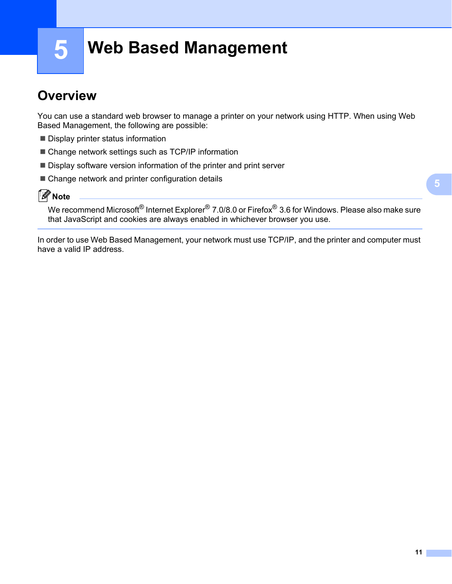**5**

## <span id="page-14-0"></span>**Web Based Management <sup>5</sup>**

### <span id="page-14-1"></span>**Overview <sup>5</sup>**

You can use a standard web browser to manage a printer on your network using HTTP. When using Web Based Management, the following are possible:

- Display printer status information
- Change network settings such as TCP/IP information
- Display software version information of the printer and print server
- Change network and printer configuration details

**Note**

We recommend Microsoft<sup>®</sup> Internet Explorer<sup>®</sup> 7.0/8.0 or Firefox<sup>®</sup> 3.6 for Windows. Please also make sure that JavaScript and cookies are always enabled in whichever browser you use.

In order to use Web Based Management, your network must use TCP/IP, and the printer and computer must have a valid IP address.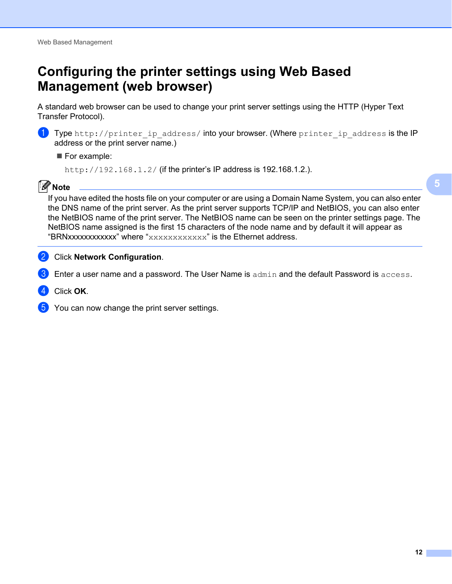## <span id="page-15-1"></span><span id="page-15-0"></span>**Configuring the printer settings using Web Based Management (web browser) <sup>5</sup>**

A standard web browser can be used to change your print server settings using the HTTP (Hyper Text Transfer Protocol).



**1)** Type http://printer\_ip\_address/ into your browser. (Where printer\_ip\_address is the IP address or the print server name.)

#### For example:

http://192.168.1.2/ (if the printer's IP address is 192.168.1.2.).

#### **Note**

If you have edited the hosts file on your computer or are using a Domain Name System, you can also enter the DNS name of the print server. As the print server supports TCP/IP and NetBIOS, you can also enter the NetBIOS name of the print server. The NetBIOS name can be seen on the printer settings page. The NetBIOS name assigned is the first 15 characters of the node name and by default it will appear as "BRNxxxxxxxxxxxx" where "xxxxxxxxxxxxx" is the Ethernet address.

#### **2** Click **Network Configuration**.

- Enter a user name and a password. The User Name is  $\alpha$ dmin and the default Password is  $\alpha$ ccess.
- **Click OK.**
- You can now change the print server settings.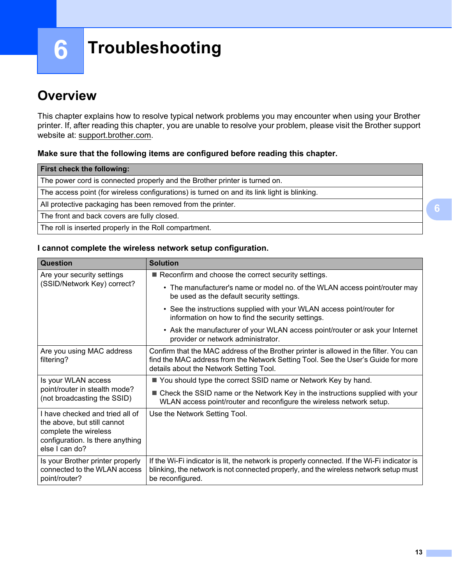**6**

## <span id="page-16-0"></span>**Troubleshooting <sup>6</sup>**

## <span id="page-16-1"></span>**Overview <sup>6</sup>**

This chapter explains how to resolve typical network problems you may encounter when using your Brother printer. If, after reading this chapter, you are unable to resolve your problem, please visit the Brother support website at: [support.brother.com.](http://support.brother.com/)

#### <span id="page-16-2"></span>**Make sure that the following items are configured before reading this chapter.**

#### **I cannot complete the wireless network setup configuration.**

| <b>Question</b>                                                                                                                               | <b>Solution</b>                                                                                                                                                                                                       |
|-----------------------------------------------------------------------------------------------------------------------------------------------|-----------------------------------------------------------------------------------------------------------------------------------------------------------------------------------------------------------------------|
| Are your security settings                                                                                                                    | Reconfirm and choose the correct security settings.                                                                                                                                                                   |
| (SSID/Network Key) correct?                                                                                                                   | • The manufacturer's name or model no. of the WLAN access point/router may<br>be used as the default security settings.                                                                                               |
|                                                                                                                                               | • See the instructions supplied with your WLAN access point/router for<br>information on how to find the security settings.                                                                                           |
|                                                                                                                                               | • Ask the manufacturer of your WLAN access point/router or ask your Internet<br>provider or network administrator.                                                                                                    |
| Are you using MAC address<br>filtering?                                                                                                       | Confirm that the MAC address of the Brother printer is allowed in the filter. You can<br>find the MAC address from the Network Setting Tool. See the User's Guide for more<br>details about the Network Setting Tool. |
| Is your WLAN access                                                                                                                           | ■ You should type the correct SSID name or Network Key by hand.                                                                                                                                                       |
| point/router in stealth mode?<br>(not broadcasting the SSID)                                                                                  | ■ Check the SSID name or the Network Key in the instructions supplied with your<br>WLAN access point/router and reconfigure the wireless network setup.                                                               |
| I have checked and tried all of<br>the above, but still cannot<br>complete the wireless<br>configuration. Is there anything<br>else I can do? | Use the Network Setting Tool.                                                                                                                                                                                         |
| Is your Brother printer properly<br>connected to the WLAN access<br>point/router?                                                             | If the Wi-Fi indicator is lit, the network is properly connected. If the Wi-Fi indicator is<br>blinking, the network is not connected properly, and the wireless network setup must<br>be reconfigured.               |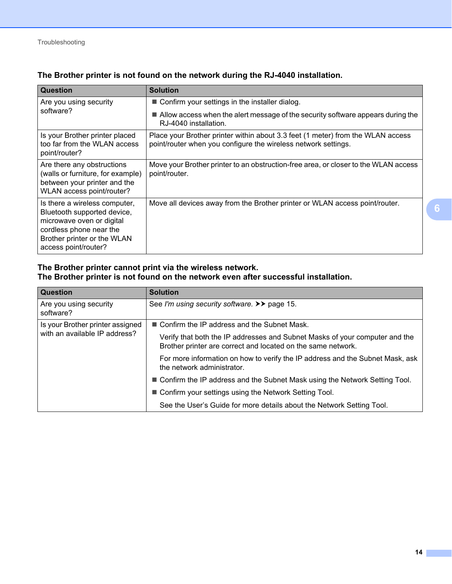| Question                                                                                                                                                                    | <b>Solution</b>                                                                                                                                   |
|-----------------------------------------------------------------------------------------------------------------------------------------------------------------------------|---------------------------------------------------------------------------------------------------------------------------------------------------|
| Are you using security                                                                                                                                                      | ■ Confirm your settings in the installer dialog.                                                                                                  |
| software?                                                                                                                                                                   | ■ Allow access when the alert message of the security software appears during the<br>RJ-4040 installation.                                        |
| Is your Brother printer placed<br>too far from the WLAN access<br>point/router?                                                                                             | Place your Brother printer within about 3.3 feet (1 meter) from the WLAN access<br>point/router when you configure the wireless network settings. |
| Are there any obstructions<br>(walls or furniture, for example)<br>between your printer and the<br>WLAN access point/router?                                                | Move your Brother printer to an obstruction-free area, or closer to the WLAN access<br>point/router.                                              |
| Is there a wireless computer,<br>Bluetooth supported device,<br>microwave oven or digital<br>cordless phone near the<br>Brother printer or the WLAN<br>access point/router? | Move all devices away from the Brother printer or WLAN access point/router.                                                                       |

#### <span id="page-17-0"></span>**The Brother printer is not found on the network during the RJ-4040 installation.**

#### **The Brother printer cannot print via the wireless network. The Brother printer is not found on the network even after successful installation.**

| <b>Question</b>                     | <b>Solution</b>                                                                                                                             |
|-------------------------------------|---------------------------------------------------------------------------------------------------------------------------------------------|
| Are you using security<br>software? | See I'm using security software. >> page 15.                                                                                                |
| Is your Brother printer assigned    | ■ Confirm the IP address and the Subnet Mask.                                                                                               |
| with an available IP address?       | Verify that both the IP addresses and Subnet Masks of your computer and the<br>Brother printer are correct and located on the same network. |
|                                     | For more information on how to verify the IP address and the Subnet Mask, ask<br>the network administrator.                                 |
|                                     | ■ Confirm the IP address and the Subnet Mask using the Network Setting Tool.                                                                |
|                                     | ■ Confirm your settings using the Network Setting Tool.                                                                                     |
|                                     | See the User's Guide for more details about the Network Setting Tool.                                                                       |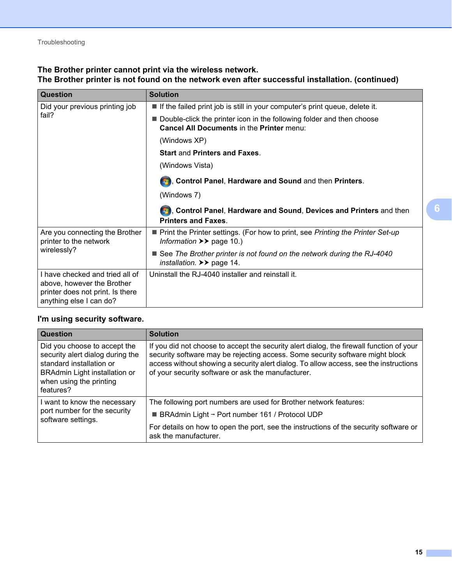#### **The Brother printer cannot print via the wireless network. The Brother printer is not found on the network even after successful installation. (continued)**

| <b>Question</b>                                                                                                              | <b>Solution</b>                                                                                                                     |
|------------------------------------------------------------------------------------------------------------------------------|-------------------------------------------------------------------------------------------------------------------------------------|
| Did your previous printing job                                                                                               | If the failed print job is still in your computer's print queue, delete it.                                                         |
| fail?                                                                                                                        | Double-click the printer icon in the following folder and then choose<br>Cancel All Documents in the Printer menu:                  |
|                                                                                                                              | (Windows XP)                                                                                                                        |
|                                                                                                                              | <b>Start and Printers and Faxes.</b>                                                                                                |
|                                                                                                                              | (Windows Vista)                                                                                                                     |
|                                                                                                                              | <b>B</b> , Control Panel, Hardware and Sound and then Printers.                                                                     |
|                                                                                                                              | (Windows 7)                                                                                                                         |
|                                                                                                                              | <b>19.</b> Control Panel, Hardware and Sound, Devices and Printers and then<br><b>Printers and Faxes.</b>                           |
| Are you connecting the Brother<br>printer to the network                                                                     | ■ Print the Printer settings. (For how to print, see Printing the Printer Set-up<br>Information $\rightarrow \rightarrow$ page 10.) |
| wirelessly?                                                                                                                  | ■ See The Brother printer is not found on the network during the RJ-4040<br>installation. $\triangleright$ page 14.                 |
| I have checked and tried all of<br>above, however the Brother<br>printer does not print. Is there<br>anything else I can do? | Uninstall the RJ-4040 installer and reinstall it.                                                                                   |

#### <span id="page-18-0"></span>**I'm using security software.**

| Question                                                                                                                                                                     | <b>Solution</b>                                                                                                                                                                                                                                                                                                          |
|------------------------------------------------------------------------------------------------------------------------------------------------------------------------------|--------------------------------------------------------------------------------------------------------------------------------------------------------------------------------------------------------------------------------------------------------------------------------------------------------------------------|
| Did you choose to accept the<br>security alert dialog during the<br>standard installation or<br><b>BRAdmin Light installation or</b><br>when using the printing<br>features? | If you did not choose to accept the security alert dialog, the firewall function of your<br>security software may be rejecting access. Some security software might block<br>access without showing a security alert dialog. To allow access, see the instructions<br>of your security software or ask the manufacturer. |
| I want to know the necessary                                                                                                                                                 | The following port numbers are used for Brother network features:                                                                                                                                                                                                                                                        |
| port number for the security<br>software settings.                                                                                                                           | <b>BRAdmin Light - Port number 161 / Protocol UDP</b>                                                                                                                                                                                                                                                                    |
|                                                                                                                                                                              | For details on how to open the port, see the instructions of the security software or<br>ask the manufacturer.                                                                                                                                                                                                           |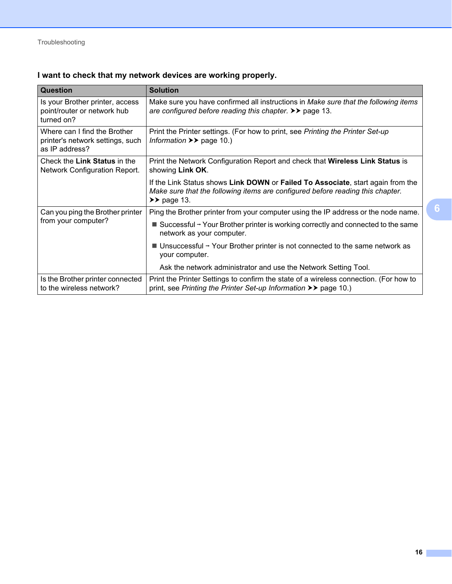#### **I want to check that my network devices are working properly.**

| <b>Question</b>                                                                    | <b>Solution</b>                                                                                                                                                                             |
|------------------------------------------------------------------------------------|---------------------------------------------------------------------------------------------------------------------------------------------------------------------------------------------|
| Is your Brother printer, access<br>point/router or network hub<br>turned on?       | Make sure you have confirmed all instructions in Make sure that the following items<br>are configured before reading this chapter. $\triangleright \triangleright$ page 13.                 |
| Where can I find the Brother<br>printer's network settings, such<br>as IP address? | Print the Printer settings. (For how to print, see Printing the Printer Set-up<br>Information $\rightarrow \rightarrow$ page 10.)                                                           |
| Check the Link Status in the<br>Network Configuration Report.                      | Print the Network Configuration Report and check that <b>Wireless Link Status</b> is<br>showing Link OK.                                                                                    |
|                                                                                    | If the Link Status shows Link DOWN or Failed To Associate, start again from the<br>Make sure that the following items are configured before reading this chapter.<br>$\rightarrow$ page 13. |
| Can you ping the Brother printer                                                   | Ping the Brother printer from your computer using the IP address or the node name.                                                                                                          |
| from your computer?                                                                | Successful $\rightarrow$ Your Brother printer is working correctly and connected to the same<br>network as your computer.                                                                   |
|                                                                                    | $\blacksquare$ Unsuccessful $\rightarrow$ Your Brother printer is not connected to the same network as<br>your computer.                                                                    |
|                                                                                    | Ask the network administrator and use the Network Setting Tool.                                                                                                                             |
| Is the Brother printer connected<br>to the wireless network?                       | Print the Printer Settings to confirm the state of a wireless connection. (For how to<br>print, see Printing the Printer Set-up Information >> page 10.)                                    |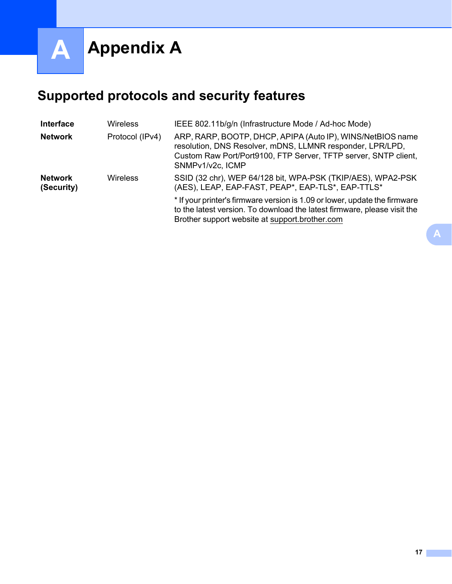<span id="page-20-0"></span>**Appendix A <sup>A</sup>**

**A**

## <span id="page-20-2"></span><span id="page-20-1"></span>**Supported protocols and security features**

| <b>Interface</b>             | <b>Wireless</b> | IEEE 802.11b/g/n (Infrastructure Mode / Ad-hoc Mode)                                                                                                                                                           |
|------------------------------|-----------------|----------------------------------------------------------------------------------------------------------------------------------------------------------------------------------------------------------------|
| <b>Network</b>               | Protocol (IPv4) | ARP, RARP, BOOTP, DHCP, APIPA (Auto IP), WINS/NetBIOS name<br>resolution, DNS Resolver, mDNS, LLMNR responder, LPR/LPD,<br>Custom Raw Port/Port9100, FTP Server, TFTP server, SNTP client,<br>SNMPv1/v2c, ICMP |
| <b>Network</b><br>(Security) | <b>Wireless</b> | SSID (32 chr), WEP 64/128 bit, WPA-PSK (TKIP/AES), WPA2-PSK<br>(AES), LEAP, EAP-FAST, PEAP*, EAP-TLS*, EAP-TTLS*                                                                                               |
|                              |                 | * If your printer's firmware version is 1.09 or lower, update the firmware<br>to the latest version. To download the latest firmware, please visit the<br>Brother support website at support brother com       |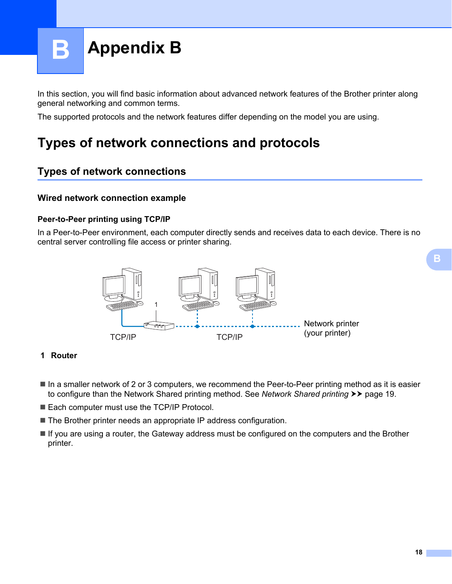<span id="page-21-0"></span>

In this section, you will find basic information about advanced network features of the Brother printer along general networking and common terms.

The supported protocols and the network features differ depending on the model you are using.

## <span id="page-21-1"></span>**Types of network connections and protocols <sup>B</sup>**

#### <span id="page-21-2"></span>**Types of network connections <sup>B</sup>**

#### **Wired network connection example**

#### **Peer-to-Peer printing using TCP/IP**

In a Peer-to-Peer environment, each computer directly sends and receives data to each device. There is no central server controlling file access or printer sharing.



#### **1 Router**

- In a smaller network of 2 or 3 computers, we recommend the Peer-to-Peer printing method as it is easier to configure than the [Network Shared printing](#page-22-0) method. See Network Shared printing >> page 19.
- Each computer must use the TCP/IP Protocol.
- The Brother printer needs an appropriate IP address configuration.
- If you are using a router, the Gateway address must be configured on the computers and the Brother printer.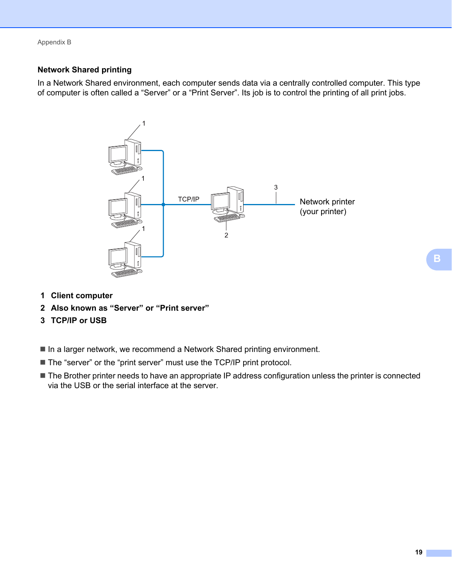Appendix B

#### <span id="page-22-0"></span>**Network Shared printing**

In a Network Shared environment, each computer sends data via a centrally controlled computer. This type of computer is often called a "Server" or a "Print Server". Its job is to control the printing of all print jobs.



- **1 Client computer**
- **2 Also known as "Server" or "Print server"**
- **3 TCP/IP or USB**
- In a larger network, we recommend a Network Shared printing environment.
- The "server" or the "print server" must use the TCP/IP print protocol.
- The Brother printer needs to have an appropriate IP address configuration unless the printer is connected via the USB or the serial interface at the server.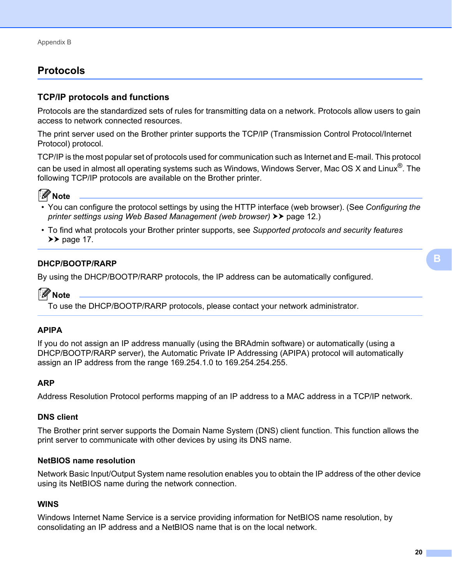#### <span id="page-23-0"></span>**Protocols <sup>B</sup>**

#### **TCP/IP protocols and functions <sup>B</sup>**

Protocols are the standardized sets of rules for transmitting data on a network. Protocols allow users to gain access to network connected resources.

The print server used on the Brother printer supports the TCP/IP (Transmission Control Protocol/Internet Protocol) protocol.

TCP/IP is the most popular set of protocols used for communication such as Internet and E-mail. This protocol can be used in almost all operating systems such as Windows, Windows Server, Mac OS X and Linux®. The following TCP/IP protocols are available on the Brother printer.



- You can configure the protocol settings by using the HTTP interface (web browser). (See *[Configuring the](#page-15-1)  [printer settings using Web Based Management \(web browser\)](#page-15-1)* >> page 12.)
- To find what protocols your Brother printer supports, see *[Supported protocols and security features](#page-20-2)*  $\rightarrow$  [page 17.](#page-20-2)

#### **DHCP/BOOTP/RARP <sup>B</sup>**

By using the DHCP/BOOTP/RARP protocols, the IP address can be automatically configured.

#### : Kl **Note**

To use the DHCP/BOOTP/RARP protocols, please contact your network administrator.

#### **APIPA <sup>B</sup>**

If you do not assign an IP address manually (using the BRAdmin software) or automatically (using a DHCP/BOOTP/RARP server), the Automatic Private IP Addressing (APIPA) protocol will automatically assign an IP address from the range 169.254.1.0 to 169.254.254.255.

#### **ARP <sup>B</sup>**

Address Resolution Protocol performs mapping of an IP address to a MAC address in a TCP/IP network.

#### **DNS** client

The Brother print server supports the Domain Name System (DNS) client function. This function allows the print server to communicate with other devices by using its DNS name.

#### **NetBIOS** name resolution

Network Basic Input/Output System name resolution enables you to obtain the IP address of the other device using its NetBIOS name during the network connection.

#### **WINS <sup>B</sup>**

Windows Internet Name Service is a service providing information for NetBIOS name resolution, by consolidating an IP address and a NetBIOS name that is on the local network.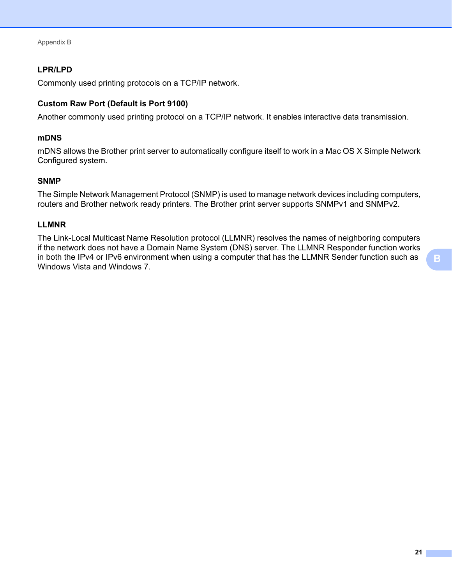Appendix B

#### **LPR/LPD <sup>B</sup>**

Commonly used printing protocols on a TCP/IP network.

#### **Custom Raw Port (Default is Port 9100) <sup>B</sup>**

Another commonly used printing protocol on a TCP/IP network. It enables interactive data transmission.

#### **mDNS <sup>B</sup>**

mDNS allows the Brother print server to automatically configure itself to work in a Mac OS X Simple Network Configured system.

#### **SNMP <sup>B</sup>**

The Simple Network Management Protocol (SNMP) is used to manage network devices including computers, routers and Brother network ready printers. The Brother print server supports SNMPv1 and SNMPv2.

#### **LLMNR <sup>B</sup>**

The Link-Local Multicast Name Resolution protocol (LLMNR) resolves the names of neighboring computers if the network does not have a Domain Name System (DNS) server. The LLMNR Responder function works in both the IPv4 or IPv6 environment when using a computer that has the LLMNR Sender function such as Windows Vista and Windows 7.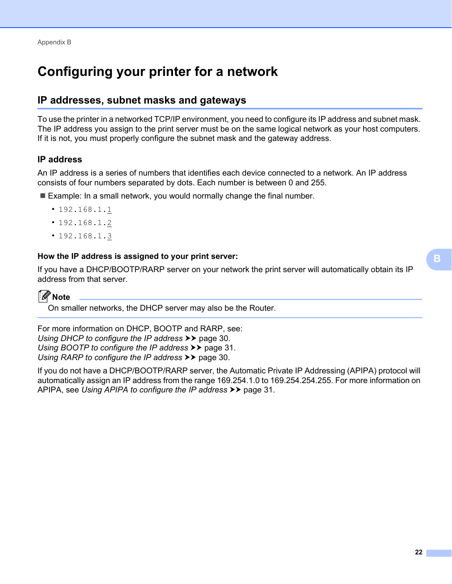## <span id="page-25-0"></span>**Configuring your printer for a network**

#### <span id="page-25-1"></span>**IP addresses, subnet masks and gateways <sup>B</sup>**

To use the printer in a networked TCP/IP environment, you need to configure its IP address and subnet mask. The IP address you assign to the print server must be on the same logical network as your host computers. If it is not, you must properly configure the subnet mask and the gateway address.

#### **IP address <sup>B</sup>**

An IP address is a series of numbers that identifies each device connected to a network. An IP address consists of four numbers separated by dots. Each number is between 0 and 255.

- Example: In a small network, you would normally change the final number.
	- 192.168.1.1
	- 192.168.1.2
	- 192.168.1.3

#### **How the IP address is assigned to your print server: <sup>B</sup>**

If you have a DHCP/BOOTP/RARP server on your network the print server will automatically obtain its IP address from that server.



On smaller networks, the DHCP server may also be the Router.

For more information on DHCP, BOOTP and RARP, see: *[Using DHCP to configure the IP address](#page-33-1)*  $\rightarrow \cdot$  page 30. *[Using BOOTP to configure the IP address](#page-34-0)* >> page 31. *[Using RARP to configure the IP address](#page-33-2)* >> page 30.

If you do not have a DHCP/BOOTP/RARP server, the Automatic Private IP Addressing (APIPA) protocol will automatically assign an IP address from the range 169.254.1.0 to 169.254.254.255. For more information on APIPA, see *[Using APIPA to configure the IP address](#page-34-1)* >> page 31.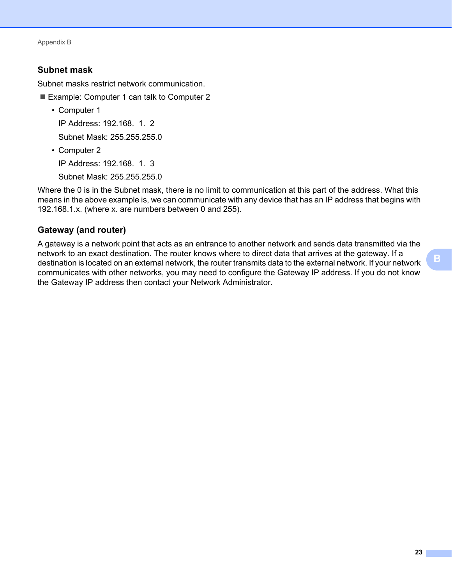Appendix B

#### **Subnet mask**

Subnet masks restrict network communication.

- Example: Computer 1 can talk to Computer 2
	- Computer 1

IP Address: 192.168. 1. 2

Subnet Mask: 255.255.255.0

• Computer 2

IP Address: 192.168. 1. 3

Subnet Mask: 255.255.255.0

Where the 0 is in the Subnet mask, there is no limit to communication at this part of the address. What this means in the above example is, we can communicate with any device that has an IP address that begins with 192.168.1.x. (where x. are numbers between 0 and 255).

#### **Gateway (and router) <sup>B</sup>**

A gateway is a network point that acts as an entrance to another network and sends data transmitted via the network to an exact destination. The router knows where to direct data that arrives at the gateway. If a destination is located on an external network, the router transmits data to the external network. If your network communicates with other networks, you may need to configure the Gateway IP address. If you do not know the Gateway IP address then contact your Network Administrator.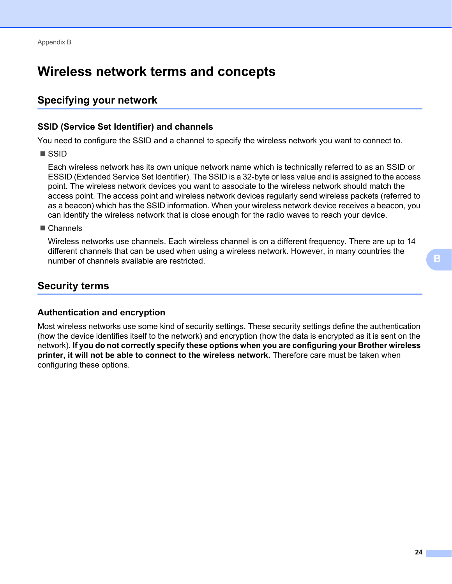## <span id="page-27-0"></span>**Wireless network terms and concepts <sup>B</sup>**

#### <span id="page-27-1"></span>**Specifying your network**

#### **SSID (Service Set Identifier) and channels <sup>B</sup>**

You need to configure the SSID and a channel to specify the wireless network you want to connect to.

**■ SSID** 

Each wireless network has its own unique network name which is technically referred to as an SSID or ESSID (Extended Service Set Identifier). The SSID is a 32-byte or less value and is assigned to the access point. The wireless network devices you want to associate to the wireless network should match the access point. The access point and wireless network devices regularly send wireless packets (referred to as a beacon) which has the SSID information. When your wireless network device receives a beacon, you can identify the wireless network that is close enough for the radio waves to reach your device.

■ Channels

Wireless networks use channels. Each wireless channel is on a different frequency. There are up to 14 different channels that can be used when using a wireless network. However, in many countries the number of channels available are restricted.

#### <span id="page-27-2"></span>**Security terms**

#### **Authentication and encryption**

Most wireless networks use some kind of security settings. These security settings define the authentication (how the device identifies itself to the network) and encryption (how the data is encrypted as it is sent on the network). **If you do not correctly specify these options when you are configuring your Brother wireless printer, it will not be able to connect to the wireless network.** Therefore care must be taken when configuring these options.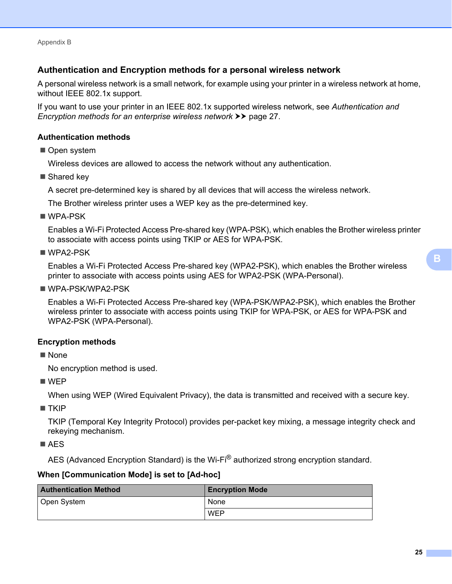Appendix B

#### **Authentication and Encryption methods for a personal wireless network <sup>B</sup>**

A personal wireless network is a small network, for example using your printer in a wireless network at home, without IEEE 802.1x support.

If you want to use your printer in an IEEE 802.1x supported wireless network, see *[Authentication and](#page-30-0)  [Encryption methods for an enterprise wireless network](#page-30-0)* >> page 27.

#### **Authentication methods**

Open system

Wireless devices are allowed to access the network without any authentication.

■ Shared key

A secret pre-determined key is shared by all devices that will access the wireless network.

The Brother wireless printer uses a WEP key as the pre-determined key.

WPA-PSK

Enables a Wi-Fi Protected Access Pre-shared key (WPA-PSK), which enables the Brother wireless printer to associate with access points using TKIP or AES for WPA-PSK.

WPA2-PSK

Enables a Wi-Fi Protected Access Pre-shared key (WPA2-PSK), which enables the Brother wireless printer to associate with access points using AES for WPA2-PSK (WPA-Personal).

■ WPA-PSK/WPA2-PSK

Enables a Wi-Fi Protected Access Pre-shared key (WPA-PSK/WPA2-PSK), which enables the Brother wireless printer to associate with access points using TKIP for WPA-PSK, or AES for WPA-PSK and WPA2-PSK (WPA-Personal).

#### **Encryption methods**

■ None

No encryption method is used.

■ WEP

When using WEP (Wired Equivalent Privacy), the data is transmitted and received with a secure key.

 $\blacksquare$  TKIP

TKIP (Temporal Key Integrity Protocol) provides per-packet key mixing, a message integrity check and rekeying mechanism.

■ AES

AES (Advanced Encryption Standard) is the Wi-Fi<sup>®</sup> authorized strong encryption standard.

#### **When [Communication Mode] is set to [Ad-hoc]**

| <b>Authentication Method</b> | <b>Encryption Mode</b> |  |
|------------------------------|------------------------|--|
| Open System                  | None                   |  |
|                              | WEP                    |  |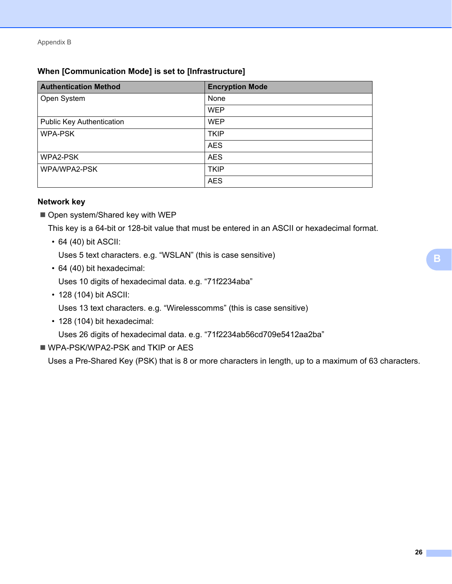#### **When [Communication Mode] is set to [Infrastructure]**

| <b>Authentication Method</b>     | <b>Encryption Mode</b> |  |
|----------------------------------|------------------------|--|
| Open System                      | None                   |  |
|                                  | <b>WEP</b>             |  |
| <b>Public Key Authentication</b> | <b>WEP</b>             |  |
| <b>WPA-PSK</b>                   | <b>TKIP</b>            |  |
|                                  | <b>AES</b>             |  |
| WPA2-PSK                         | <b>AES</b>             |  |
| WPA/WPA2-PSK                     | <b>TKIP</b>            |  |
|                                  | <b>AES</b>             |  |

#### **Network key**

Open system/Shared key with WEP

This key is a 64-bit or 128-bit value that must be entered in an ASCII or hexadecimal format.

• 64 (40) bit ASCII:

Uses 5 text characters. e.g. "WSLAN" (this is case sensitive)

• 64 (40) bit hexadecimal:

Uses 10 digits of hexadecimal data. e.g. "71f2234aba"

• 128 (104) bit ASCII:

Uses 13 text characters. e.g. "Wirelesscomms" (this is case sensitive)

• 128 (104) bit hexadecimal:

Uses 26 digits of hexadecimal data. e.g. "71f2234ab56cd709e5412aa2ba"

■ WPA-PSK/WPA2-PSK and TKIP or AES

Uses a Pre-Shared Key (PSK) that is 8 or more characters in length, up to a maximum of 63 characters.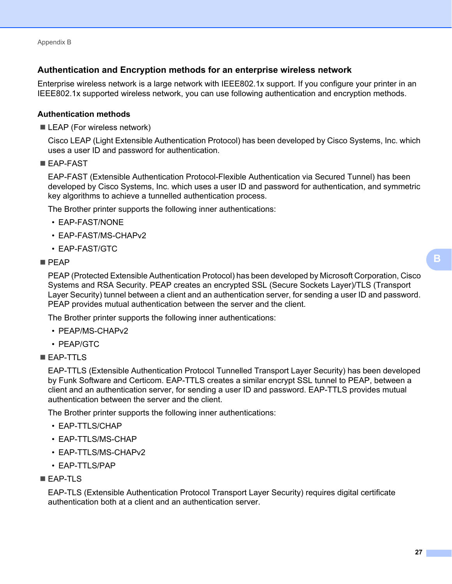#### <span id="page-30-0"></span>**Authentication and Encryption methods for an enterprise wireless network <sup>B</sup>**

Enterprise wireless network is a large network with IEEE802.1x support. If you configure your printer in an IEEE802.1x supported wireless network, you can use following authentication and encryption methods.

#### **Authentication methods <sup>B</sup>**

■ LEAP (For wireless network)

Cisco LEAP (Light Extensible Authentication Protocol) has been developed by Cisco Systems, Inc. which uses a user ID and password for authentication.

■ EAP-FAST

EAP-FAST (Extensible Authentication Protocol-Flexible Authentication via Secured Tunnel) has been developed by Cisco Systems, Inc. which uses a user ID and password for authentication, and symmetric key algorithms to achieve a tunnelled authentication process.

The Brother printer supports the following inner authentications:

- EAP-FAST/NONE
- EAP-FAST/MS-CHAPv2
- EAP-FAST/GTC

#### $PFAP$

PEAP (Protected Extensible Authentication Protocol) has been developed by Microsoft Corporation, Cisco Systems and RSA Security. PEAP creates an encrypted SSL (Secure Sockets Layer)/TLS (Transport Layer Security) tunnel between a client and an authentication server, for sending a user ID and password. PEAP provides mutual authentication between the server and the client.

The Brother printer supports the following inner authentications:

- PEAP/MS-CHAPv2
- PEAP/GTC
- **EAP-TTLS**

EAP-TTLS (Extensible Authentication Protocol Tunnelled Transport Layer Security) has been developed by Funk Software and Certicom. EAP-TTLS creates a similar encrypt SSL tunnel to PEAP, between a client and an authentication server, for sending a user ID and password. EAP-TTLS provides mutual authentication between the server and the client.

The Brother printer supports the following inner authentications:

- EAP-TTLS/CHAP
- EAP-TTLS/MS-CHAP
- EAP-TTLS/MS-CHAPv2
- EAP-TTLS/PAP

#### EAP-TLS

EAP-TLS (Extensible Authentication Protocol Transport Layer Security) requires digital certificate authentication both at a client and an authentication server.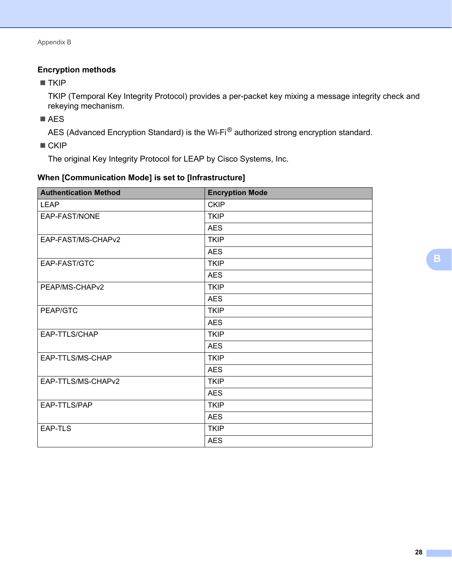#### **Encryption methods**

 $\blacksquare$  TKIP

TKIP (Temporal Key Integrity Protocol) provides a per-packet key mixing a message integrity check and rekeying mechanism.

■ AES

AES (Advanced Encryption Standard) is the Wi-Fi® authorized strong encryption standard.

 $\blacksquare$  CKIP

The original Key Integrity Protocol for LEAP by Cisco Systems, Inc.

| When [Communication Mode] is set to [Infrastructure] |  |  |
|------------------------------------------------------|--|--|
|------------------------------------------------------|--|--|

| <b>Authentication Method</b> | <b>Encryption Mode</b> |  |
|------------------------------|------------------------|--|
| <b>LEAP</b>                  | <b>CKIP</b>            |  |
| EAP-FAST/NONE                | <b>TKIP</b>            |  |
|                              | <b>AES</b>             |  |
| EAP-FAST/MS-CHAPv2           | <b>TKIP</b>            |  |
|                              | <b>AES</b>             |  |
| EAP-FAST/GTC                 | <b>TKIP</b>            |  |
|                              | <b>AES</b>             |  |
| PEAP/MS-CHAPv2               | <b>TKIP</b>            |  |
|                              | <b>AES</b>             |  |
| PEAP/GTC                     | <b>TKIP</b>            |  |
|                              | <b>AES</b>             |  |
| EAP-TTLS/CHAP                | <b>TKIP</b>            |  |
|                              | <b>AES</b>             |  |
| EAP-TTLS/MS-CHAP             | <b>TKIP</b>            |  |
|                              | <b>AES</b>             |  |
| EAP-TTLS/MS-CHAPv2           | <b>TKIP</b>            |  |
|                              | <b>AES</b>             |  |
| EAP-TTLS/PAP                 | <b>TKIP</b>            |  |
|                              | <b>AES</b>             |  |
| EAP-TLS                      | <b>TKIP</b>            |  |
|                              | <b>AES</b>             |  |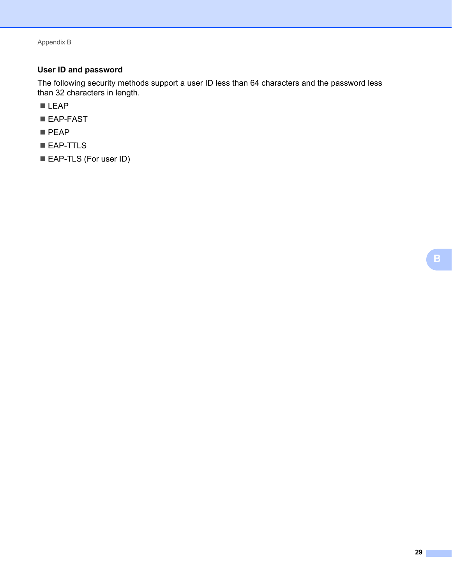Appendix B

#### **User ID and password**

The following security methods support a user ID less than 64 characters and the password less than 32 characters in length.

- LEAP
- EAP-FAST
- **PEAP**
- **EAP-TTLS**
- EAP-TLS (For user ID)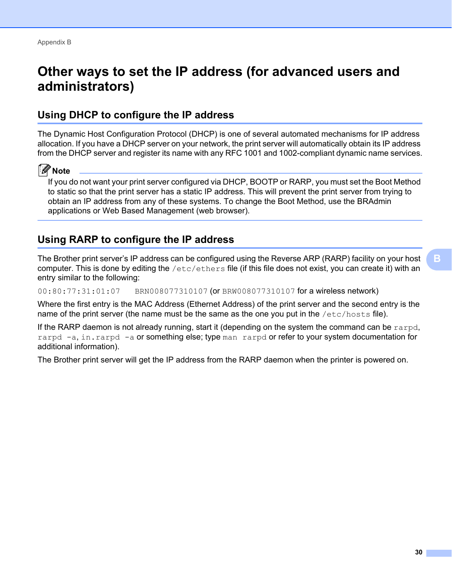## <span id="page-33-0"></span>**Other ways to set the IP address (for advanced users and administrators) <sup>B</sup>**

#### <span id="page-33-1"></span>**Using DHCP to configure the IP address <sup>B</sup>**

The Dynamic Host Configuration Protocol (DHCP) is one of several automated mechanisms for IP address allocation. If you have a DHCP server on your network, the print server will automatically obtain its IP address from the DHCP server and register its name with any RFC 1001 and 1002-compliant dynamic name services.

#### **Note**

If you do not want your print server configured via DHCP, BOOTP or RARP, you must set the Boot Method to static so that the print server has a static IP address. This will prevent the print server from trying to obtain an IP address from any of these systems. To change the Boot Method, use the BRAdmin applications or Web Based Management (web browser).

#### <span id="page-33-2"></span>**Using RARP to configure the IP address <sup>B</sup>**

The Brother print server's IP address can be configured using the Reverse ARP (RARP) facility on your host computer. This is done by editing the  $/etc/ethers$  file (if this file does not exist, you can create it) with an entry similar to the following:

00:80:77:31:01:07 BRN008077310107 (or BRW008077310107 for a wireless network)

Where the first entry is the MAC Address (Ethernet Address) of the print server and the second entry is the name of the print server (the name must be the same as the one you put in the /etc/hosts file).

If the RARP daemon is not already running, start it (depending on the system the command can be  $r \text{argd}$ , rarpd  $-a$ , in. rarpd  $-a$  or something else; type man rarpd or refer to your system documentation for additional information).

The Brother print server will get the IP address from the RARP daemon when the printer is powered on.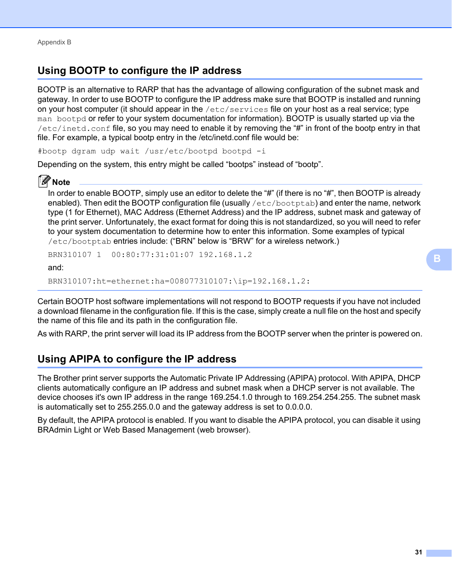#### <span id="page-34-0"></span>**Using BOOTP to configure the IP address <sup>B</sup>**

BOOTP is an alternative to RARP that has the advantage of allowing configuration of the subnet mask and gateway. In order to use BOOTP to configure the IP address make sure that BOOTP is installed and running on your host computer (it should appear in the  $/etc/series$  file on your host as a real service; type man bootpd or refer to your system documentation for information). BOOTP is usually started up via the  $/etc/ind.conf$  file, so you may need to enable it by removing the "#" in front of the bootp entry in that file. For example, a typical bootp entry in the /etc/inetd.conf file would be:

#bootp dgram udp wait /usr/etc/bootpd bootpd -i

Depending on the system, this entry might be called "bootps" instead of "bootp".

#### **Note**

In order to enable BOOTP, simply use an editor to delete the "#" (if there is no "#", then BOOTP is already enabled). Then edit the BOOTP configuration file (usually /etc/bootptab) and enter the name, network type (1 for Ethernet), MAC Address (Ethernet Address) and the IP address, subnet mask and gateway of the print server. Unfortunately, the exact format for doing this is not standardized, so you will need to refer to your system documentation to determine how to enter this information. Some examples of typical /etc/bootptab entries include: ("BRN" below is "BRW" for a wireless network.)

BRN310107 1 00:80:77:31:01:07 192.168.1.2

and:

BRN310107:ht=ethernet:ha=008077310107:\ip=192.168.1.2:

Certain BOOTP host software implementations will not respond to BOOTP requests if you have not included a download filename in the configuration file. If this is the case, simply create a null file on the host and specify the name of this file and its path in the configuration file.

As with RARP, the print server will load its IP address from the BOOTP server when the printer is powered on.

#### <span id="page-34-1"></span>**Using APIPA to configure the IP address <sup>B</sup>**

The Brother print server supports the Automatic Private IP Addressing (APIPA) protocol. With APIPA, DHCP clients automatically configure an IP address and subnet mask when a DHCP server is not available. The device chooses it's own IP address in the range 169.254.1.0 through to 169.254.254.255. The subnet mask is automatically set to 255.255.0.0 and the gateway address is set to 0.0.0.0.

By default, the APIPA protocol is enabled. If you want to disable the APIPA protocol, you can disable it using BRAdmin Light or Web Based Management (web browser).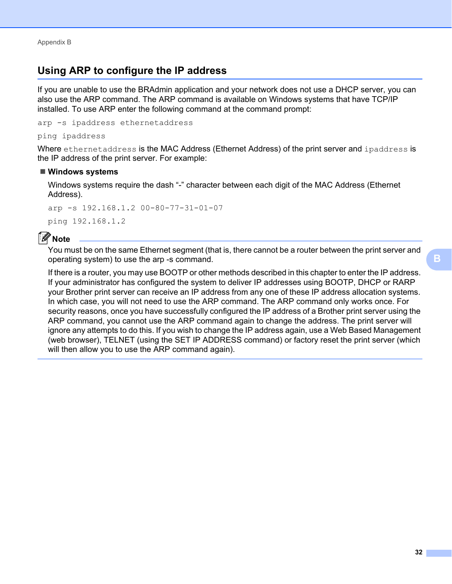#### <span id="page-35-0"></span>**Using ARP to configure the IP address <sup>B</sup>**

If you are unable to use the BRAdmin application and your network does not use a DHCP server, you can also use the ARP command. The ARP command is available on Windows systems that have TCP/IP installed. To use ARP enter the following command at the command prompt:

arp -s ipaddress ethernetaddress

ping ipaddress

Where ethernetaddress is the MAC Address (Ethernet Address) of the print server and ipaddress is the IP address of the print server. For example:

#### **Windows systems**

Windows systems require the dash "-" character between each digit of the MAC Address (Ethernet Address).

arp -s 192.168.1.2 00-80-77-31-01-07 ping 192.168.1.2

#### **Note**

You must be on the same Ethernet segment (that is, there cannot be a router between the print server and operating system) to use the arp -s command.

If there is a router, you may use BOOTP or other methods described in this chapter to enter the IP address. If your administrator has configured the system to deliver IP addresses using BOOTP, DHCP or RARP your Brother print server can receive an IP address from any one of these IP address allocation systems. In which case, you will not need to use the ARP command. The ARP command only works once. For security reasons, once you have successfully configured the IP address of a Brother print server using the ARP command, you cannot use the ARP command again to change the address. The print server will ignore any attempts to do this. If you wish to change the IP address again, use a Web Based Management (web browser), TELNET (using the SET IP ADDRESS command) or factory reset the print server (which will then allow you to use the ARP command again).